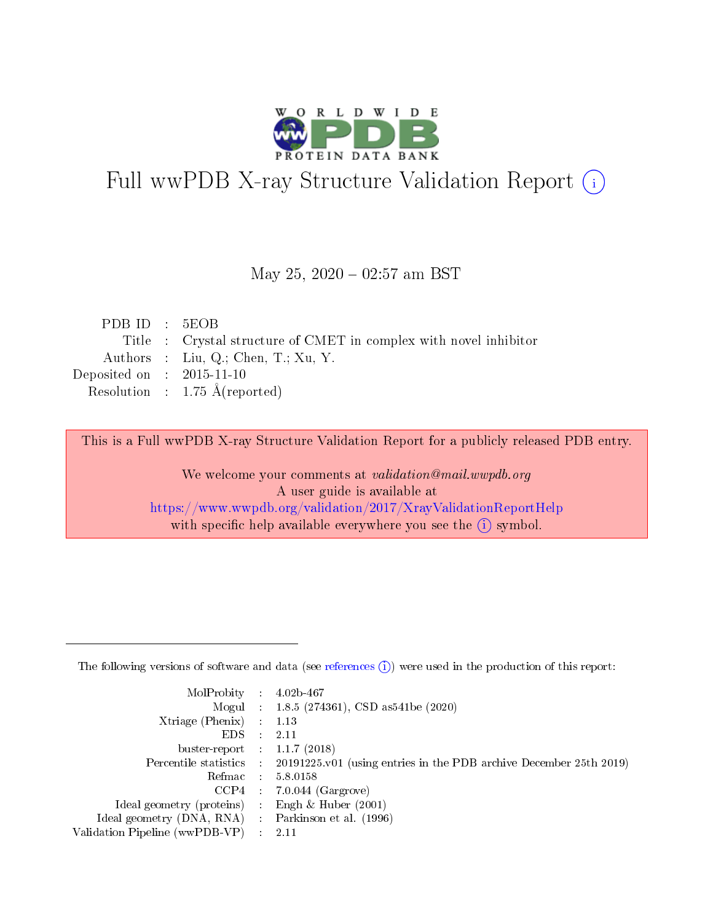

# Full wwPDB X-ray Structure Validation Report (i)

#### May 25,  $2020 - 02:57$  am BST

| PDBID : 5EOB                                                      |
|-------------------------------------------------------------------|
| Title : Crystal structure of CMET in complex with novel inhibitor |
| Authors : Liu, Q.; Chen, T.; Xu, Y.                               |
| Deposited on : $2015-11-10$                                       |
| Resolution : $1.75 \text{ Å}$ (reported)                          |
|                                                                   |

This is a Full wwPDB X-ray Structure Validation Report for a publicly released PDB entry.

We welcome your comments at validation@mail.wwpdb.org A user guide is available at <https://www.wwpdb.org/validation/2017/XrayValidationReportHelp> with specific help available everywhere you see the  $(i)$  symbol.

The following versions of software and data (see [references](https://www.wwpdb.org/validation/2017/XrayValidationReportHelp#references)  $(1)$ ) were used in the production of this report:

| $MolProbability$ 4.02b-467                          |                                                                                            |
|-----------------------------------------------------|--------------------------------------------------------------------------------------------|
|                                                     | Mogul : $1.8.5$ (274361), CSD as 541be (2020)                                              |
| $Xtriangle (Phenix)$ : 1.13                         |                                                                                            |
| $EDS$ :                                             | -2.11                                                                                      |
| buster-report : $1.1.7(2018)$                       |                                                                                            |
|                                                     | Percentile statistics : 20191225.v01 (using entries in the PDB archive December 25th 2019) |
| Refmac $5.8.0158$                                   |                                                                                            |
|                                                     | $CCP4$ 7.0.044 (Gargrove)                                                                  |
| Ideal geometry (proteins) :                         | Engh & Huber $(2001)$                                                                      |
| Ideal geometry (DNA, RNA) : Parkinson et al. (1996) |                                                                                            |
| Validation Pipeline (wwPDB-VP) : 2.11               |                                                                                            |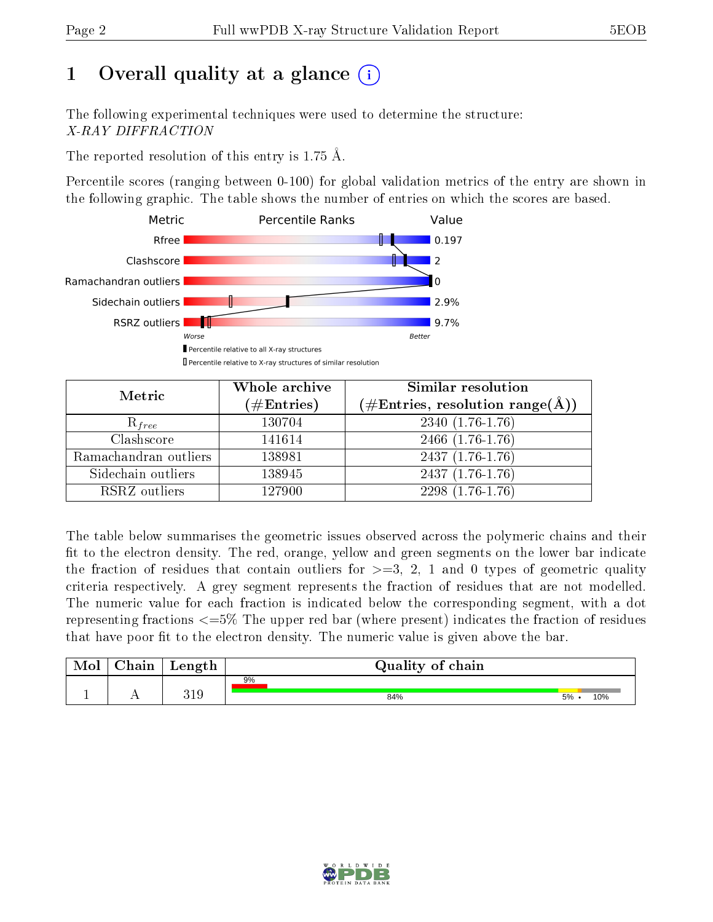# 1 [O](https://www.wwpdb.org/validation/2017/XrayValidationReportHelp#overall_quality)verall quality at a glance  $(i)$

The following experimental techniques were used to determine the structure: X-RAY DIFFRACTION

The reported resolution of this entry is 1.75 Å.

Percentile scores (ranging between 0-100) for global validation metrics of the entry are shown in the following graphic. The table shows the number of entries on which the scores are based.



| Metric                | Whole archive<br>$(\#\text{Entries})$ | Similar resolution<br>(#Entries, resolution range(Å)) |
|-----------------------|---------------------------------------|-------------------------------------------------------|
| $R_{free}$            | 130704                                | 2340 (1.76-1.76)                                      |
| Clashscore            | 141614                                | $2466$ $(1.76-1.76)$                                  |
| Ramachandran outliers | 138981                                | $2437(1.76-1.76)$                                     |
| Sidechain outliers    | 138945                                | $2437(1.76-1.76)$                                     |
| RSRZ outliers         | 127900                                | 2298 (1.76-1.76)                                      |

The table below summarises the geometric issues observed across the polymeric chains and their fit to the electron density. The red, orange, yellow and green segments on the lower bar indicate the fraction of residues that contain outliers for  $>=3, 2, 1$  and 0 types of geometric quality criteria respectively. A grey segment represents the fraction of residues that are not modelled. The numeric value for each fraction is indicated below the corresponding segment, with a dot representing fractions  $\epsilon=5\%$  The upper red bar (where present) indicates the fraction of residues that have poor fit to the electron density. The numeric value is given above the bar.

| Mol           | hain | Length       | Quality of chain |    |     |
|---------------|------|--------------|------------------|----|-----|
|               |      |              | 9%               |    |     |
| <u>. на п</u> | . .  | 91 O<br>تللا | 84%              | 5% | 10% |

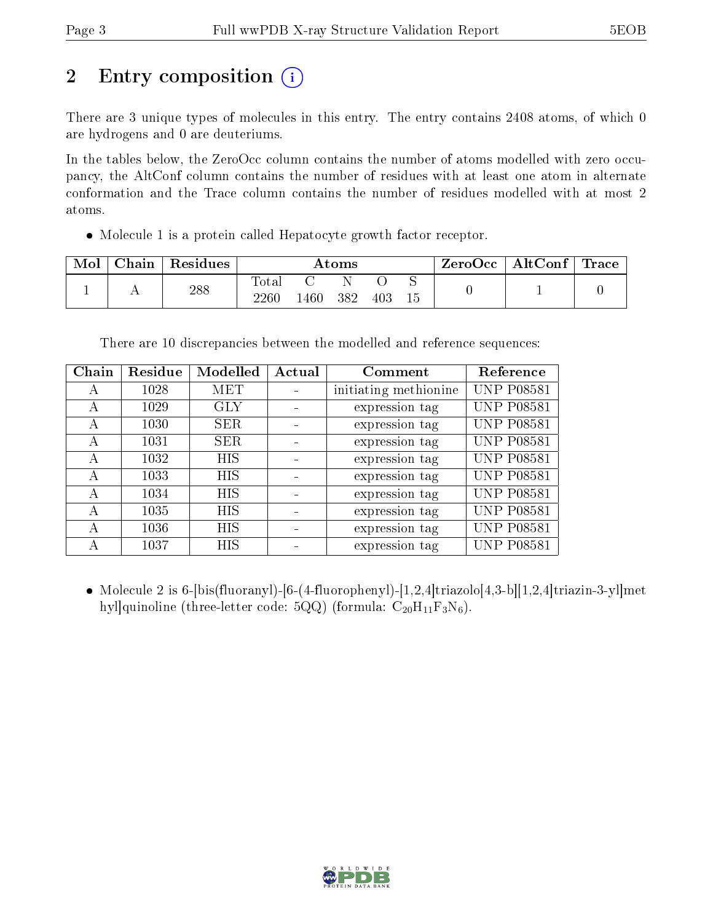# 2 Entry composition  $\left( \cdot \right)$

There are 3 unique types of molecules in this entry. The entry contains 2408 atoms, of which 0 are hydrogens and 0 are deuteriums.

In the tables below, the ZeroOcc column contains the number of atoms modelled with zero occupancy, the AltConf column contains the number of residues with at least one atom in alternate conformation and the Trace column contains the number of residues modelled with at most 2 atoms.

Molecule 1 is a protein called Hepatocyte growth factor receptor.

| Mol | Chain | Residues | $\rm{Atoms}$            |      |     |     |   | ZeroOcc | $\mid$ AltConf $\mid$ | $\mid$ Trace $\mid$ |
|-----|-------|----------|-------------------------|------|-----|-----|---|---------|-----------------------|---------------------|
|     |       | 288      | $\rm Total$<br>$2260\,$ | .460 | 382 | 403 | ∼ |         |                       |                     |

There are 10 discrepancies between the modelled and reference sequences:

| Chain | Residue | Modelled   | Actual | Comment               | Reference         |
|-------|---------|------------|--------|-----------------------|-------------------|
| А     | 1028    | MET        |        | initiating methionine | <b>UNP P08581</b> |
| А     | 1029    | <b>GLY</b> |        | expression tag        | <b>UNP P08581</b> |
| А     | 1030    | <b>SER</b> |        | expression tag        | <b>UNP P08581</b> |
| А     | 1031    | <b>SER</b> |        | expression tag        | <b>UNP P08581</b> |
| A     | 1032    | <b>HIS</b> |        | expression tag        | <b>UNP P08581</b> |
| A     | 1033    | <b>HIS</b> |        | expression tag        | <b>UNP P08581</b> |
| А     | 1034    | HIS        |        | expression tag        | <b>UNP P08581</b> |
| А     | 1035    | <b>HIS</b> |        | expression tag        | <b>UNP P08581</b> |
| А     | 1036    | HIS        |        | expression tag        | <b>UNP P08581</b> |
|       | 1037    | HIS        |        | expression tag        | <b>UNP P08581</b> |

• Molecule 2 is 6-[bis(fluoranyl)-[6-(4-fluorophenyl)-[1,2,4]triazolo[4,3-b][1,2,4]triazin-3-yl]met hyl]quinoline (three-letter code: 5QQ) (formula:  $C_{20}H_{11}F_3N_6$ ).

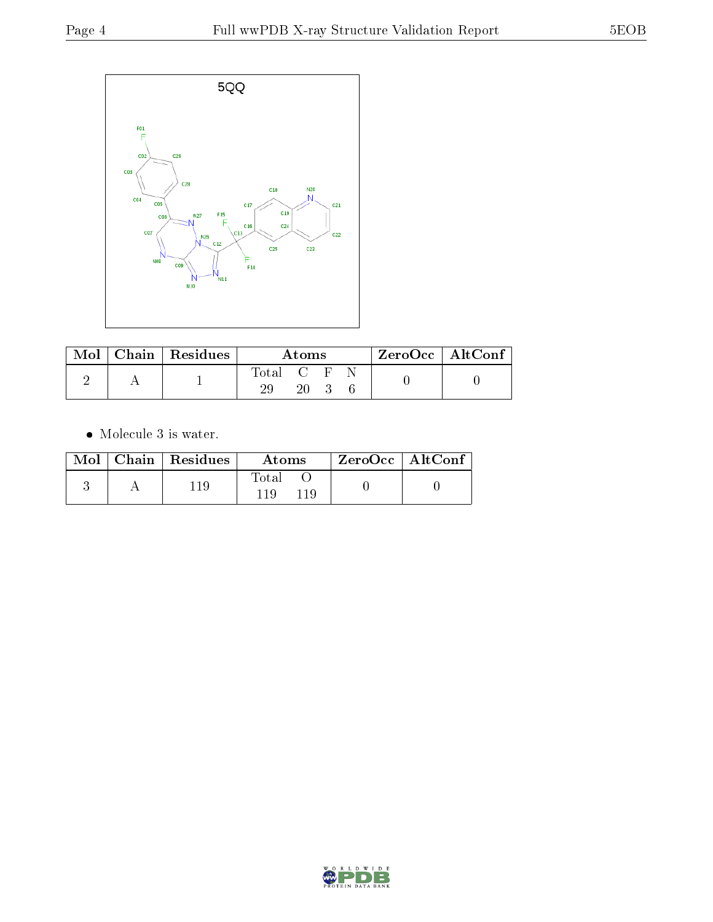

| Mol | Chain   Residues | Atoms                                                               |     |  | $ZeroOcc \mid AltConf$ |  |
|-----|------------------|---------------------------------------------------------------------|-----|--|------------------------|--|
|     |                  | $\begin{array}{ccc} \text{Total} & \text{C} & \text{F} \end{array}$ | 20. |  |                        |  |

• Molecule 3 is water.

|  | $Mol$   Chain   Residues | Atoms        | $ZeroOcc \mid AltConf$ |  |
|--|--------------------------|--------------|------------------------|--|
|  |                          | Total<br>119 |                        |  |

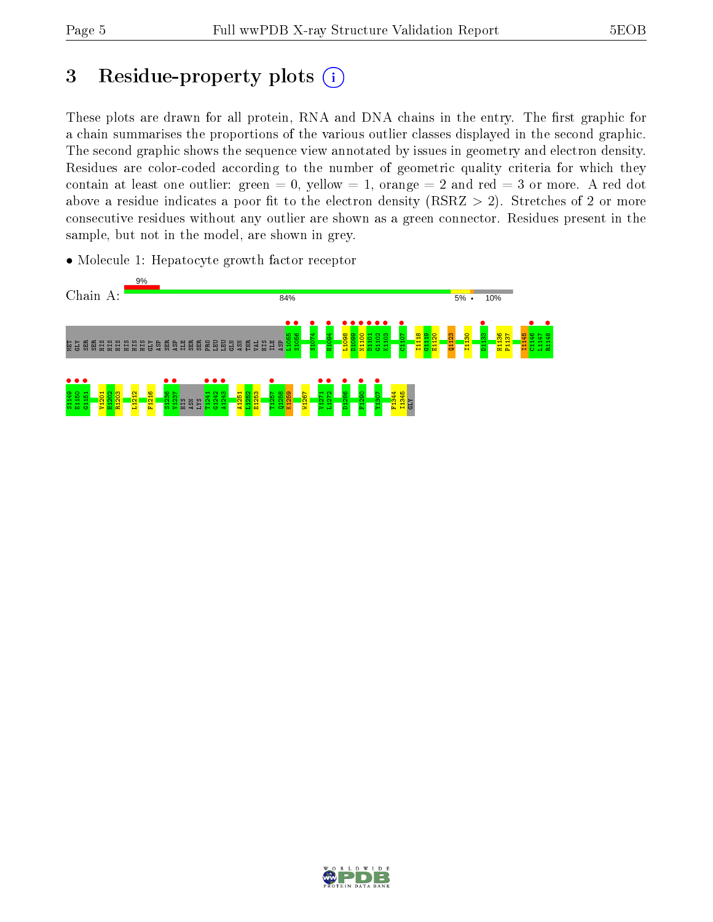## 3 Residue-property plots  $(i)$

These plots are drawn for all protein, RNA and DNA chains in the entry. The first graphic for a chain summarises the proportions of the various outlier classes displayed in the second graphic. The second graphic shows the sequence view annotated by issues in geometry and electron density. Residues are color-coded according to the number of geometric quality criteria for which they contain at least one outlier: green  $= 0$ , yellow  $= 1$ , orange  $= 2$  and red  $= 3$  or more. A red dot above a residue indicates a poor fit to the electron density (RSRZ  $> 2$ ). Stretches of 2 or more consecutive residues without any outlier are shown as a green connector. Residues present in the sample, but not in the model, are shown in grey.

• Molecule 1: Hepatocyte growth factor receptor



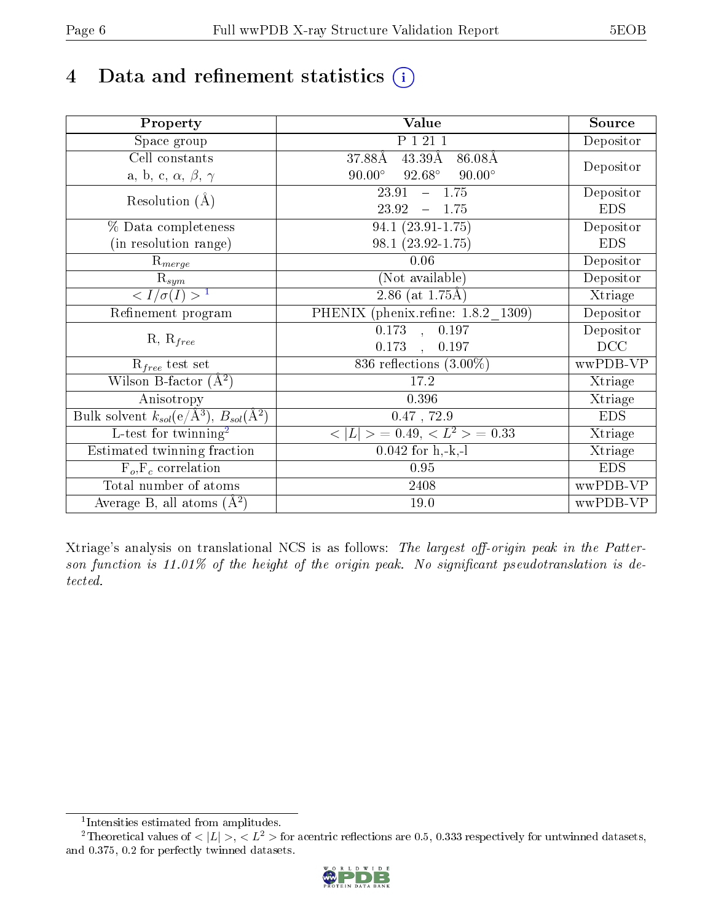## 4 Data and refinement statistics  $(i)$

| Property                                                             | Value                                           | Source     |
|----------------------------------------------------------------------|-------------------------------------------------|------------|
| $\overline{S}$ pace group                                            | P 1 21 1                                        | Depositor  |
| Cell constants                                                       | $43.39\text{\AA}$<br>37.88Å<br>86.08Å           |            |
| a, b, c, $\alpha$ , $\beta$ , $\gamma$                               | $90.00^\circ$<br>$92.68^\circ$<br>$90.00^\circ$ | Depositor  |
| Resolution $(A)$                                                     | $-1.75$<br>23.91                                | Depositor  |
|                                                                      | 23.92<br>1.75<br>$\equiv$                       | <b>EDS</b> |
| % Data completeness                                                  | 94.1 (23.91-1.75)                               | Depositor  |
| (in resolution range)                                                | $98.1(23.92-1.75)$                              | <b>EDS</b> |
| $R_{merge}$                                                          | 0.06                                            | Depositor  |
| $\mathrm{R}_{sym}$                                                   | (Not available)                                 | Depositor  |
| $\sqrt{I/\sigma(I)} > 1$                                             | 2.86 (at $1.75\text{\AA}$ )                     | Xtriage    |
| Refinement program                                                   | PHENIX (phenix.refine: 1.8.2 1309)              | Depositor  |
|                                                                      | $\overline{0.173}$ ,<br>$\overline{0.197}$      | Depositor  |
| $R, R_{free}$                                                        | 0.173<br>0.197<br>$\overline{\phantom{a}}$      | DCC        |
| $\mathcal{R}_{free}$ test set                                        | 836 reflections $(3.00\%)$                      | wwPDB-VP   |
| Wilson B-factor $(A^2)$                                              | 17.2                                            | Xtriage    |
| Anisotropy                                                           | 0.396                                           | Xtriage    |
| Bulk solvent $k_{sol}(e/\mathring{A}^3)$ , $B_{sol}(\mathring{A}^2)$ | $0.47$ , 72.9                                   | <b>EDS</b> |
| L-test for twinning <sup>2</sup>                                     | $< L >$ = 0.49, $< L2$ = 0.33                   | Xtriage    |
| Estimated twinning fraction                                          | $0.042$ for h,-k,-l                             | Xtriage    |
| $F_o, F_c$ correlation                                               | 0.95                                            | <b>EDS</b> |
| Total number of atoms                                                | 2408                                            | wwPDB-VP   |
| Average B, all atoms $(A^2)$                                         | 19.0                                            | wwPDB-VP   |

Xtriage's analysis on translational NCS is as follows: The largest off-origin peak in the Patterson function is  $11.01\%$  of the height of the origin peak. No significant pseudotranslation is detected.

<sup>&</sup>lt;sup>2</sup>Theoretical values of  $\langle |L| \rangle$ ,  $\langle L^2 \rangle$  for acentric reflections are 0.5, 0.333 respectively for untwinned datasets, and 0.375, 0.2 for perfectly twinned datasets.



<span id="page-5-1"></span><span id="page-5-0"></span><sup>1</sup> Intensities estimated from amplitudes.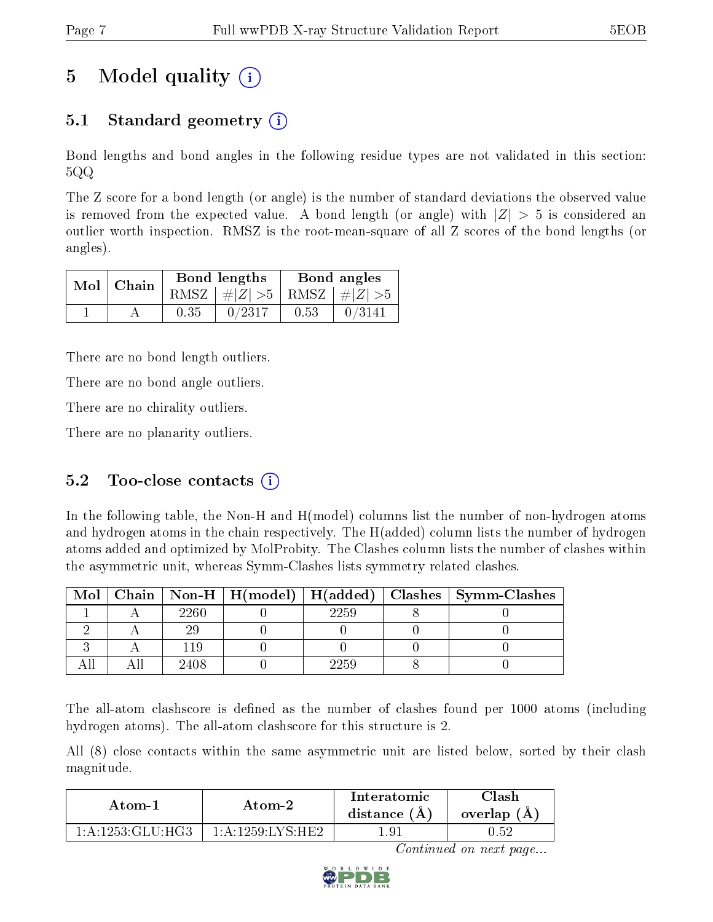# 5 Model quality  $(i)$

### 5.1 Standard geometry (i)

Bond lengths and bond angles in the following residue types are not validated in this section: 5QQ

The Z score for a bond length (or angle) is the number of standard deviations the observed value is removed from the expected value. A bond length (or angle) with  $|Z| > 5$  is considered an outlier worth inspection. RMSZ is the root-mean-square of all Z scores of the bond lengths (or angles).

| $Mol$   Chain |      | Bond lengths                    | Bond angles |                                                                    |  |
|---------------|------|---------------------------------|-------------|--------------------------------------------------------------------|--|
|               |      | RMSZ $ #Z  > 5$ RMSZ $ #Z  > 5$ |             |                                                                    |  |
|               | 0.35 | 0/2317                          | 0.53        | $\begin{array}{c} \begin{array}{c} \end{array} \end{array}$ 0/3141 |  |

There are no bond length outliers.

There are no bond angle outliers.

There are no chirality outliers.

There are no planarity outliers.

### 5.2 Too-close contacts  $(i)$

In the following table, the Non-H and H(model) columns list the number of non-hydrogen atoms and hydrogen atoms in the chain respectively. The H(added) column lists the number of hydrogen atoms added and optimized by MolProbity. The Clashes column lists the number of clashes within the asymmetric unit, whereas Symm-Clashes lists symmetry related clashes.

| $\text{Mol}$ |      |      | Chain   Non-H   H(model)   H(added)   Clashes   Symm-Clashes |
|--------------|------|------|--------------------------------------------------------------|
|              | 2260 | 2259 |                                                              |
|              |      |      |                                                              |
|              |      |      |                                                              |
|              | 2408 | 2259 |                                                              |

The all-atom clashscore is defined as the number of clashes found per 1000 atoms (including hydrogen atoms). The all-atom clashscore for this structure is 2.

All (8) close contacts within the same asymmetric unit are listed below, sorted by their clash magnitude.

| Atom-1           | Atom-2                 | Interatomic<br>distance $(A)$ | ~lash<br>overlap $(A,$ |
|------------------|------------------------|-------------------------------|------------------------|
| 1 A 1253 GLU HG3 | $1:$ A $1259$ I VS HE? | . . Q. 1                      | 1.52                   |

Continued on next page...

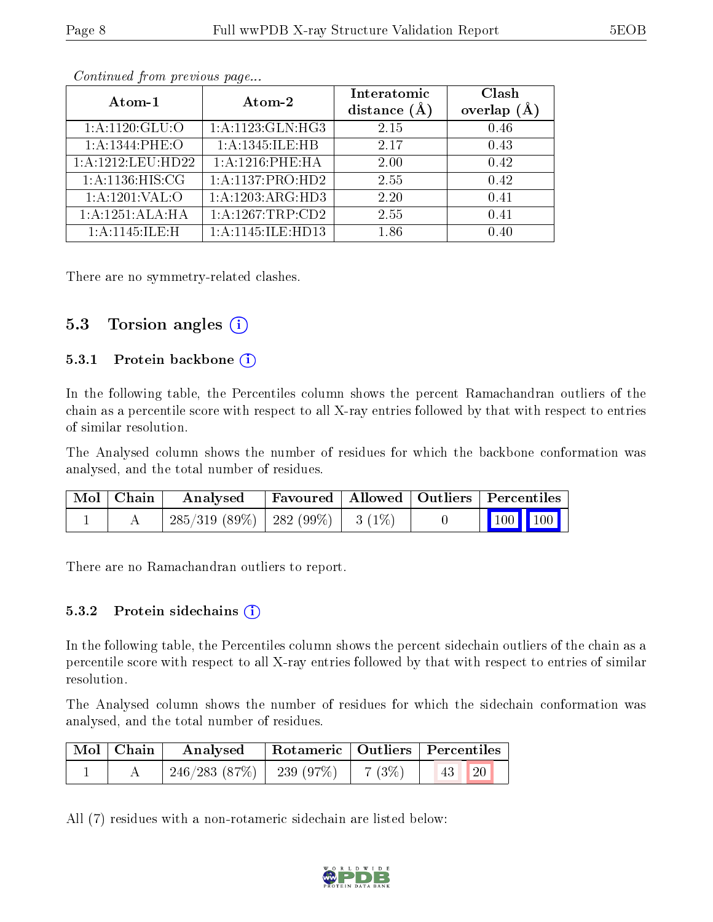| Atom-1             | Atom-2               | Interatomic<br>distance $(A)$ | Clash<br>overlap |
|--------------------|----------------------|-------------------------------|------------------|
| 1: A: 1120: GLU: O | 1: A: 1123: GLN: HG3 | 2.15                          | 0.46             |
| 1: A: 1344: PHE: O | 1:A:1345:ILE:HB      | 2.17                          | 0.43             |
| 1:A:1212:LEU:HD22  | $1: A:1216:$ PHE:HA  | 2.00                          | 0.42             |
| 1: A:1136:HIS:CG   | 1:A:1137:PRO:HD2     | 2.55                          | 0.42             |
| 1: A: 1201: VAL: O | 1:A:1203:ARG:HD3     | 2.20                          | 0.41             |
| 1:A:1251:ALA:HA    | 1:A:1267:TRP:CD2     | 2.55                          | 0.41             |
| 1: A: 1145: ILE:H  | 1:A:1145:ILE:HD13    | 186                           | በ 4በ             |

Continued from previous page...

There are no symmetry-related clashes.

#### 5.3 Torsion angles (i)

#### 5.3.1 Protein backbone  $(i)$

In the following table, the Percentiles column shows the percent Ramachandran outliers of the chain as a percentile score with respect to all X-ray entries followed by that with respect to entries of similar resolution.

The Analysed column shows the number of residues for which the backbone conformation was analysed, and the total number of residues.

| $Mol$   Chain | $\boldsymbol{\mathrm{Analysed}}$        | Favoured   Allowed   Outliers   Percentiles |  |                                                            |  |
|---------------|-----------------------------------------|---------------------------------------------|--|------------------------------------------------------------|--|
|               | $285/319$ (89\%)   282 (99\%)   3 (1\%) |                                             |  | $\begin{array}{ c c c c }\n\hline\n100 & 100\n\end{array}$ |  |

There are no Ramachandran outliers to report.

#### 5.3.2 Protein sidechains  $\hat{I}$

In the following table, the Percentiles column shows the percent sidechain outliers of the chain as a percentile score with respect to all X-ray entries followed by that with respect to entries of similar resolution.

The Analysed column shows the number of residues for which the sidechain conformation was analysed, and the total number of residues.

| Mol   Chain | Analysed                                  | Rotameric   Outliers   Percentiles |        |                                 |  |
|-------------|-------------------------------------------|------------------------------------|--------|---------------------------------|--|
|             | $\pm 246/283$ $(87\%)$ $\pm 239$ $(97\%)$ |                                    | 7 (3%) | $\vert 43 \vert \vert 20 \vert$ |  |

All (7) residues with a non-rotameric sidechain are listed below:

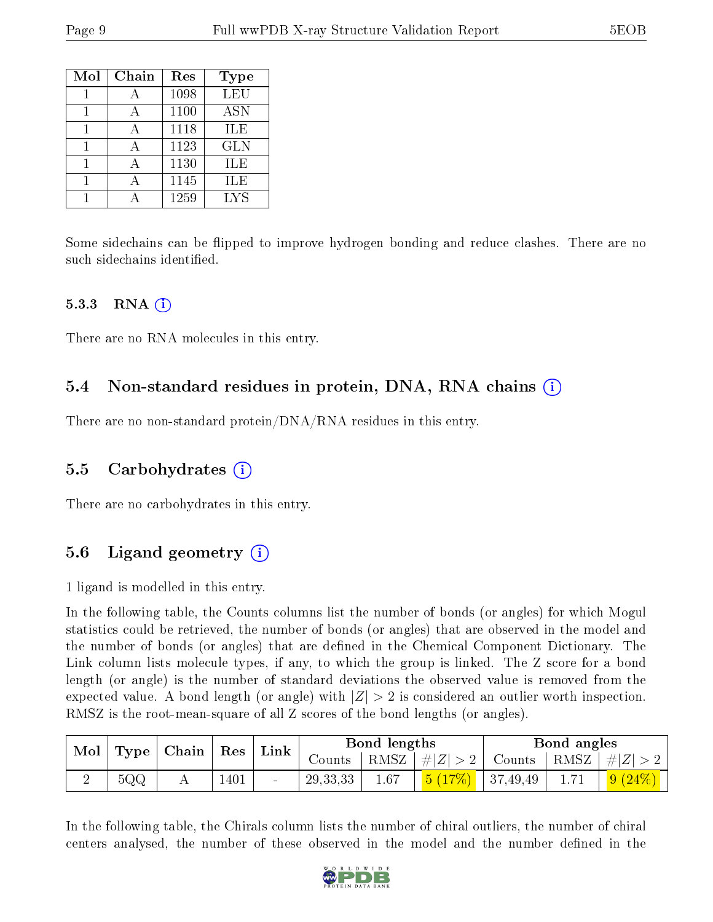| Mol | Chain        | Res  | <b>Type</b> |
|-----|--------------|------|-------------|
|     |              | 1098 | LEU         |
|     | $\mathsf{A}$ | 1100 | <b>ASN</b>  |
|     |              | 1118 | ILE         |
|     | A            | 1123 | <b>GLN</b>  |
|     |              | 1130 | ILE         |
|     |              | 1145 | ILE         |
|     |              | 1259 | LYS         |

Some sidechains can be flipped to improve hydrogen bonding and reduce clashes. There are no such sidechains identified.

#### 5.3.3 RNA  $(i)$

There are no RNA molecules in this entry.

### 5.4 Non-standard residues in protein, DNA, RNA chains (i)

There are no non-standard protein/DNA/RNA residues in this entry.

#### 5.5 Carbohydrates (i)

There are no carbohydrates in this entry.

### 5.6 Ligand geometry (i)

1 ligand is modelled in this entry.

In the following table, the Counts columns list the number of bonds (or angles) for which Mogul statistics could be retrieved, the number of bonds (or angles) that are observed in the model and the number of bonds (or angles) that are defined in the Chemical Component Dictionary. The Link column lists molecule types, if any, to which the group is linked. The Z score for a bond length (or angle) is the number of standard deviations the observed value is removed from the expected value. A bond length (or angle) with  $|Z| > 2$  is considered an outlier worth inspection. RMSZ is the root-mean-square of all Z scores of the bond lengths (or angles).

| $\mid$ Type $\mid$ Chain $\mid$ Res $\mid$<br>$\blacksquare$ Mol |                   |  | Bond lengths |                          |            | Bond angles |                                    |  |      |                                  |
|------------------------------------------------------------------|-------------------|--|--------------|--------------------------|------------|-------------|------------------------------------|--|------|----------------------------------|
|                                                                  |                   |  |              | $\lfloor$ Link $\rfloor$ | Counts     |             | $ RMSZ  \#  Z  > 2  $              |  |      | Counts   RMSZ $\vert \#  Z  > 2$ |
|                                                                  | $5{\rm Q}{\rm Q}$ |  | 1401         | $\overline{\phantom{0}}$ | 29, 33, 33 | 1.67        | $\frac{5(17\%)}{5(27\%)}$ 37,49,49 |  | 1.71 | 9(24%)                           |

In the following table, the Chirals column lists the number of chiral outliers, the number of chiral centers analysed, the number of these observed in the model and the number defined in the

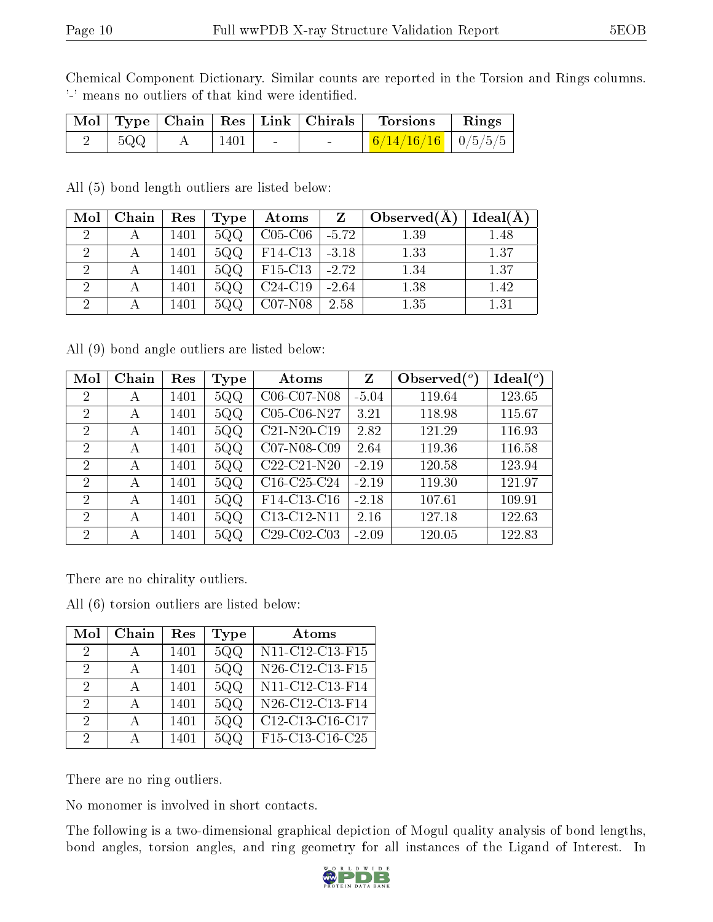Chemical Component Dictionary. Similar counts are reported in the Torsion and Rings columns. '-' means no outliers of that kind were identified.

|     |      | Mol   Type   Chain   Res   Link   Chirals | <b>Torsions</b>          | Rings |
|-----|------|-------------------------------------------|--------------------------|-------|
| 5QQ | 1401 |                                           | $6/14/16/16$   $0/5/5/5$ |       |

All (5) bond length outliers are listed below:

| Mol | Chain | Res  | Type | Atoms          |         | Observe d(A) | Ideal(A) |
|-----|-------|------|------|----------------|---------|--------------|----------|
|     |       | 1401 | 5QQ  | $C05-C06$      | $-5.72$ | 1.39         | 1.48     |
|     |       | 1401 | 5QQ  | $F14-C13$      | $-3.18$ | 1.33         | 1.37     |
|     |       | 1401 | 5QQ  | $\mid$ F15-C13 | $-2.72$ | 1.34         | 1.37     |
| റ   |       | 1401 | 5QQ  | $C24-C19$      | $-2.64$ | 1.38         | 1.42     |
| ച   |       | 1401 |      | $C07-N08$      | 2.58    | 1.35         | 1.31     |

All (9) bond angle outliers are listed below:

| Mol            | Chain | Res  | Type        | Atoms                                             | Z       | Observed $\binom{o}{c}$ | Ideal $({}^{\circ})$ |
|----------------|-------|------|-------------|---------------------------------------------------|---------|-------------------------|----------------------|
| $\overline{2}$ | А     | 1401 | 5QQ         | C06-C07-N08                                       | $-5.04$ | 119.64                  | 123.65               |
| $\overline{2}$ | А     | 1401 | 5QQ         | C05-C06-N27                                       | 3.21    | 118.98                  | 115.67               |
| 2              | А     | 1401 | 5QQ         | C21-N20-C19                                       | 2.82    | 121.29                  | 116.93               |
| $\overline{2}$ | А     | 1401 | 5QQ         | C07-N08-C09                                       | 2.64    | 119.36                  | 116.58               |
| 2              | А     | 1401 | 5QQ         | C <sub>22</sub> -C <sub>21</sub> -N <sub>20</sub> | $-2.19$ | 120.58                  | 123.94               |
| $\overline{2}$ | А     | 1401 | 5QQ         | $C16-C25-C24$                                     | $-2.19$ | 119.30                  | 121.97               |
| $\overline{2}$ | А     | 1401 | 5QQ         | F14-C13-C16                                       | $-2.18$ | 107.61                  | 109.91               |
| 2              | А     | 1401 | 5QQ         | C13-C12-N11                                       | 2.16    | 127.18                  | 122.63               |
| $\mathcal{P}$  | А     | 1401 | $5{\rm QQ}$ | $C29-C02-C03$                                     | $-2.09$ | 120.05                  | 122.83               |

There are no chirality outliers.

All (6) torsion outliers are listed below:

| Mol           | Chain | Res  | Type | Atoms           |
|---------------|-------|------|------|-----------------|
| 2             |       | 1401 | 5QQ  | N11-C12-C13-F15 |
| 2             |       | 1401 | 5QQ  | N26-C12-C13-F15 |
| $\mathcal{D}$ | А     | 1401 | 5QQ  | N11-C12-C13-F14 |
| $\Omega$      |       | 1401 | 5QQ  | N26-C12-C13-F14 |
| 2             | А     | 1401 | 5QQ  | C12-C13-C16-C17 |
| 9             |       | 1401 | 5QQ  | F15-C13-C16-C25 |

There are no ring outliers.

No monomer is involved in short contacts.

The following is a two-dimensional graphical depiction of Mogul quality analysis of bond lengths, bond angles, torsion angles, and ring geometry for all instances of the Ligand of Interest. In

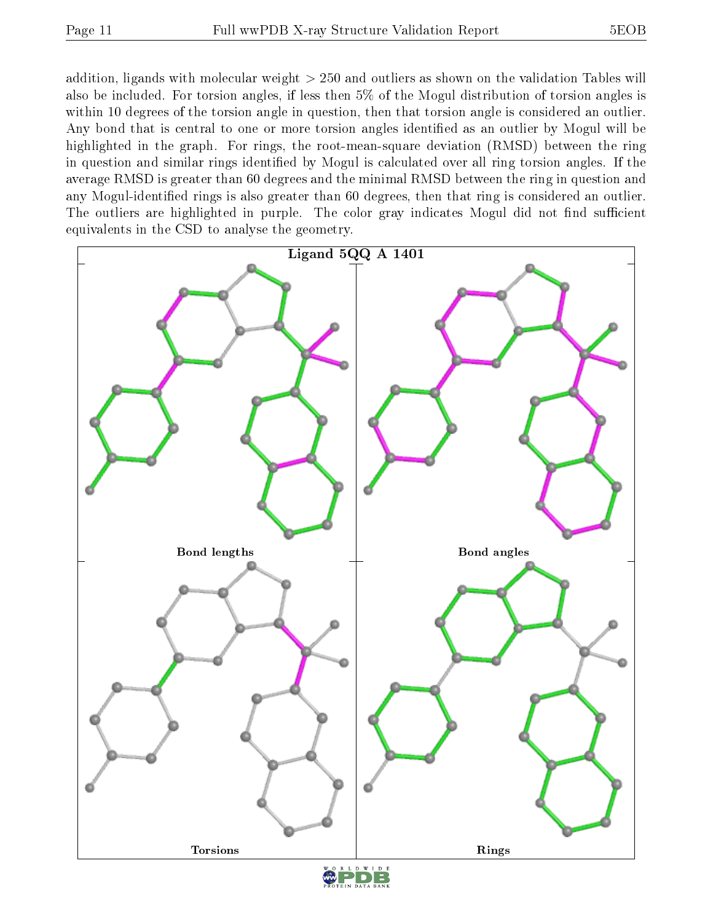addition, ligands with molecular weight > 250 and outliers as shown on the validation Tables will also be included. For torsion angles, if less then 5% of the Mogul distribution of torsion angles is within 10 degrees of the torsion angle in question, then that torsion angle is considered an outlier. Any bond that is central to one or more torsion angles identified as an outlier by Mogul will be highlighted in the graph. For rings, the root-mean-square deviation (RMSD) between the ring in question and similar rings identified by Mogul is calculated over all ring torsion angles. If the average RMSD is greater than 60 degrees and the minimal RMSD between the ring in question and any Mogul-identied rings is also greater than 60 degrees, then that ring is considered an outlier. The outliers are highlighted in purple. The color gray indicates Mogul did not find sufficient equivalents in the CSD to analyse the geometry.

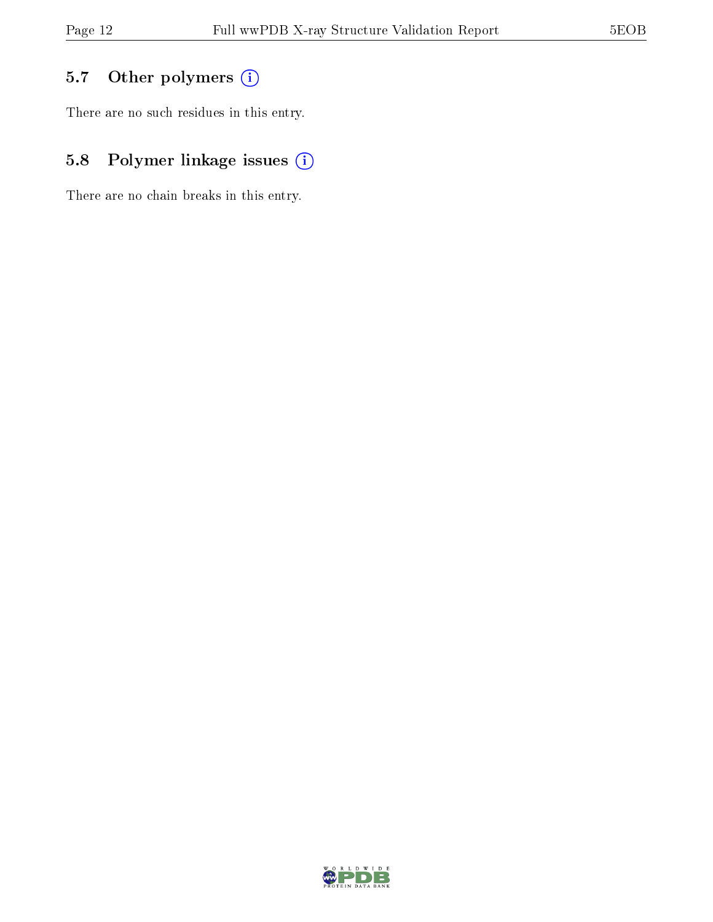## 5.7 [O](https://www.wwpdb.org/validation/2017/XrayValidationReportHelp#nonstandard_residues_and_ligands)ther polymers (i)

There are no such residues in this entry.

## 5.8 Polymer linkage issues (i)

There are no chain breaks in this entry.

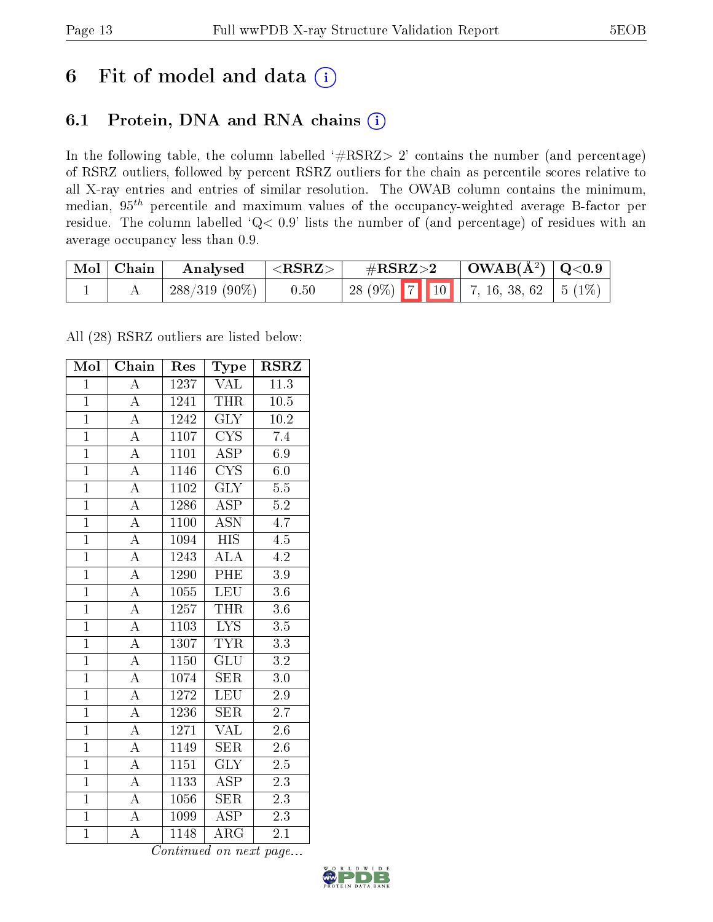## 6 Fit of model and data  $(i)$

## 6.1 Protein, DNA and RNA chains  $(i)$

In the following table, the column labelled  $#RSRZ> 2'$  contains the number (and percentage) of RSRZ outliers, followed by percent RSRZ outliers for the chain as percentile scores relative to all X-ray entries and entries of similar resolution. The OWAB column contains the minimum, median,  $95<sup>th</sup>$  percentile and maximum values of the occupancy-weighted average B-factor per residue. The column labelled ' $Q< 0.9$ ' lists the number of (and percentage) of residues with an average occupancy less than 0.9.

| $\blacksquare$ Mol | $\mid$ Chain | Analysed        | $<$ RSRZ $>$ | $\#\text{RSRZ}\text{>2}$ | $\mid$ OWAB( $A^2$ ) $\mid$ Q<0.9 |  |
|--------------------|--------------|-----------------|--------------|--------------------------|-----------------------------------|--|
|                    |              | $288/319(90\%)$ | 0.50         |                          | 28 (9%) 7 10 7, 16, 38, 62 5 (1%) |  |

All (28) RSRZ outliers are listed below:

| Mol            | Chain              | Res         | Type                    | <b>RSRZ</b>       |
|----------------|--------------------|-------------|-------------------------|-------------------|
| $\overline{1}$ | $\overline{\rm A}$ | 1237        | $\overline{\text{VAL}}$ | 11.3              |
| $\overline{1}$ | $\overline{\rm A}$ | 1241        | <b>THR</b>              | $\overline{10.5}$ |
| $\overline{1}$ | $\overline{A}$     | 1242        | $\overline{\text{GLY}}$ | $10.2\,$          |
| $\overline{1}$ | $\overline{\rm A}$ | 1107        | $\overline{\text{CYS}}$ | 7.4               |
| $\overline{1}$ | $\overline{\rm A}$ | 1101        | $\overline{\text{ASP}}$ | 6.9               |
| $\mathbf{1}$   | $\boldsymbol{A}$   | 1146        | $\overline{\text{CYS}}$ | 6.0               |
| $\overline{1}$ | $\overline{\rm A}$ | 1102        | <b>GLY</b>              | $5.5\,$           |
| $\overline{1}$ | $\overline{\rm A}$ | 1286        | $\overline{\text{ASP}}$ | $\overline{5.2}$  |
| $\mathbf{1}$   | $\overline{\rm A}$ | 1100        | $\overline{\text{ASN}}$ | 4.7               |
| $\overline{1}$ | $\overline{\rm A}$ | 1094        | <b>HIS</b>              | 4.5               |
| $\overline{1}$ | $\overline{\rm A}$ | 1243        | $\overline{\rm ALA}$    | $\overline{4.2}$  |
| $\overline{1}$ | $\overline{A}$     | 1290        | PHE                     | 3.9               |
| $\overline{1}$ | $\overline{A}$     | 1055        | <b>LEU</b>              | 3.6               |
| $\overline{1}$ | $\overline{\rm A}$ | 1257        | <b>THR</b>              | 3.6               |
| $\overline{1}$ | $\overline{A}$     | 1103        | $\overline{\text{LYS}}$ | 3.5               |
| $\overline{1}$ | $\overline{\rm A}$ | 1307        | <b>TYR</b>              | $\overline{3.3}$  |
| $\overline{1}$ | $\overline{\rm A}$ | <b>1150</b> | $\overline{{\rm GLU}}$  | $\overline{3.2}$  |
| $\overline{1}$ | $\overline{\rm A}$ | 1074        | <b>SER</b>              | 3.0               |
| $\overline{1}$ | $\overline{\rm A}$ | 1272        | <b>LEU</b>              | 2.9               |
| $\overline{1}$ | $\overline{A}$     | 1236        | $\overline{\text{SER}}$ | 2.7               |
| $\overline{1}$ | $\overline{\rm A}$ | 1271        | $\overline{\text{VAL}}$ | $2.6\,$           |
| $\overline{1}$ | $\overline{A}$     | 1149        | $\overline{\text{SER}}$ | 2.6               |
| $\overline{1}$ | $\overline{\rm A}$ | 1151        | $\overline{\text{GLY}}$ | 2.5               |
| $\overline{1}$ | $\overline{\rm A}$ | 1133        | $\overline{\rm ASP}$    | $\overline{2.3}$  |
| $\overline{1}$ | $\overline{\rm A}$ | 1056        | SER                     | 2.3               |
| $\overline{1}$ | $\overline{\rm A}$ | 1099        | $\overline{\text{ASP}}$ | 2.3               |
| $\overline{1}$ | $\overline{\rm A}$ | 1148        | $\overline{\text{ARG}}$ | $\overline{2.1}$  |

Continued on next page...

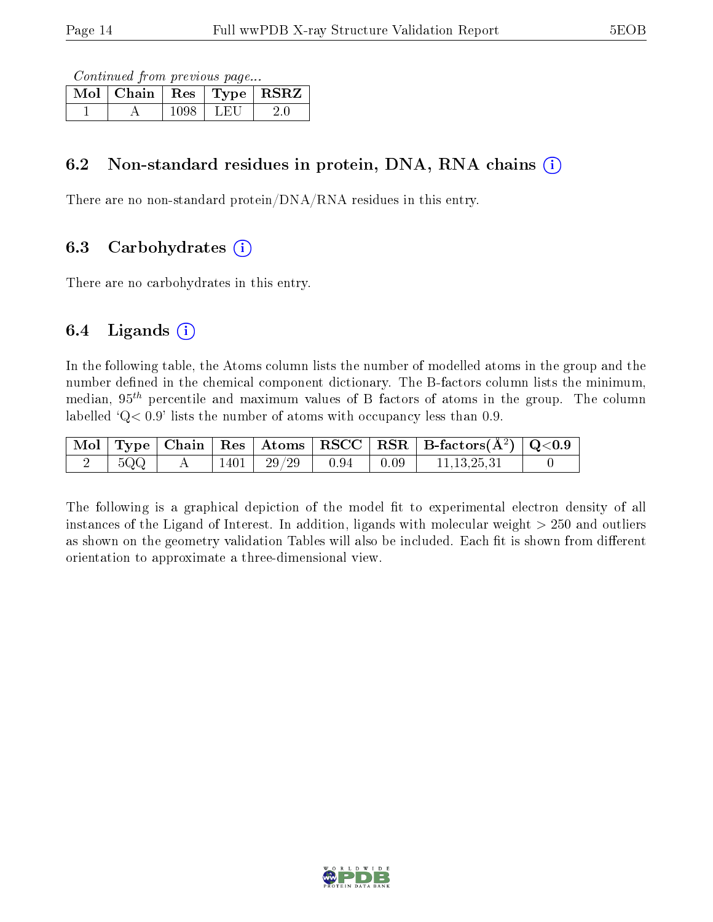Continued from previous page...

| $\overline{\text{Mol}}$   Chain   Res   Type |      | RSRZ |
|----------------------------------------------|------|------|
|                                              | L.HI |      |

### 6.2 Non-standard residues in protein, DNA, RNA chains (i)

There are no non-standard protein/DNA/RNA residues in this entry.

### 6.3 Carbohydrates (i)

There are no carbohydrates in this entry.

### 6.4 Ligands  $(i)$

In the following table, the Atoms column lists the number of modelled atoms in the group and the number defined in the chemical component dictionary. The B-factors column lists the minimum, median,  $95<sup>th</sup>$  percentile and maximum values of B factors of atoms in the group. The column labelled  $Q < 0.9$ ' lists the number of atoms with occupancy less than 0.9.

|     |      |       |                                                      |              | $\vert$ Mol $\vert$ Type $\vert$ Chain $\vert$ Res $\vert$ Atoms $\vert$ RSCC $\vert$ RSR $\vert$ B-factors(A <sup>2</sup> ) $\vert$ Q<0.9 |  |
|-----|------|-------|------------------------------------------------------|--------------|--------------------------------------------------------------------------------------------------------------------------------------------|--|
| 5QQ | 1401 | 29/29 | $\begin{array}{c} \begin{array}{c} \end{array}$ 0.94 | $\vert 0.09$ | 11, 13, 25, 31                                                                                                                             |  |

The following is a graphical depiction of the model fit to experimental electron density of all instances of the Ligand of Interest. In addition, ligands with molecular weight  $> 250$  and outliers as shown on the geometry validation Tables will also be included. Each fit is shown from different orientation to approximate a three-dimensional view.